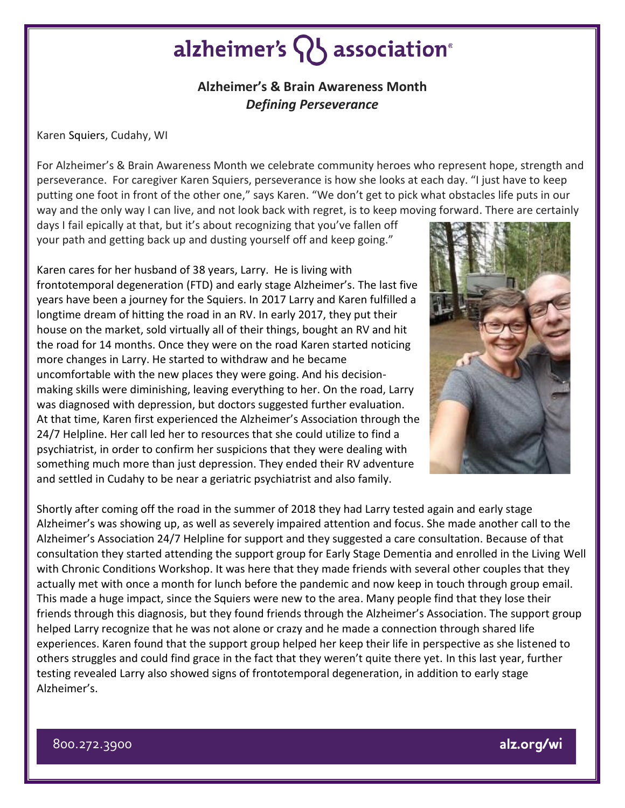## alzheimer's  $\{ \}$  association<sup>®</sup>

### **Alzheimer's & Brain Awareness Month** *Defining Perseverance*

Karen Squiers, Cudahy, WI

For Alzheimer's & Brain Awareness Month we celebrate community heroes who represent hope, strength and perseverance. For caregiver Karen Squiers, perseverance is how she looks at each day. "I just have to keep putting one foot in front of the other one," says Karen. "We don't get to pick what obstacles life puts in our way and the only way I can live, and not look back with regret, is to keep moving forward. There are certainly

days I fail epically at that, but it's about recognizing that you've fallen off your path and getting back up and dusting yourself off and keep going."

Karen cares for her husband of 38 years, Larry. He is living with frontotemporal degeneration (FTD) and early stage Alzheimer's. The last five years have been a journey for the Squiers. In 2017 Larry and Karen fulfilled a longtime dream of hitting the road in an RV. In early 2017, they put their house on the market, sold virtually all of their things, bought an RV and hit the road for 14 months. Once they were on the road Karen started noticing more changes in Larry. He started to withdraw and he became uncomfortable with the new places they were going. And his decisionmaking skills were diminishing, leaving everything to her. On the road, Larry was diagnosed with depression, but doctors suggested further evaluation. At that time, Karen first experienced the Alzheimer's Association through the 24/7 Helpline. Her call led her to resources that she could utilize to find a psychiatrist, in order to confirm her suspicions that they were dealing with something much more than just depression. They ended their RV adventure and settled in Cudahy to be near a geriatric psychiatrist and also family.



Shortly after coming off the road in the summer of 2018 they had Larry tested again and early stage Alzheimer's was showing up, as well as severely impaired attention and focus. She made another call to the Alzheimer's Association 24/7 Helpline for support and they suggested a care consultation. Because of that consultation they started attending the support group for Early Stage Dementia and enrolled in the Living Well with Chronic Conditions Workshop. It was here that they made friends with several other couples that they actually met with once a month for lunch before the pandemic and now keep in touch through group email. This made a huge impact, since the Squiers were new to the area. Many people find that they lose their friends through this diagnosis, but they found friends through the Alzheimer's Association. The support group helped Larry recognize that he was not alone or crazy and he made a connection through shared life experiences. Karen found that the support group helped her keep their life in perspective as she listened to others struggles and could find grace in the fact that they weren't quite there yet. In this last year, further testing revealed Larry also showed signs of frontotemporal degeneration, in addition to early stage Alzheimer's.